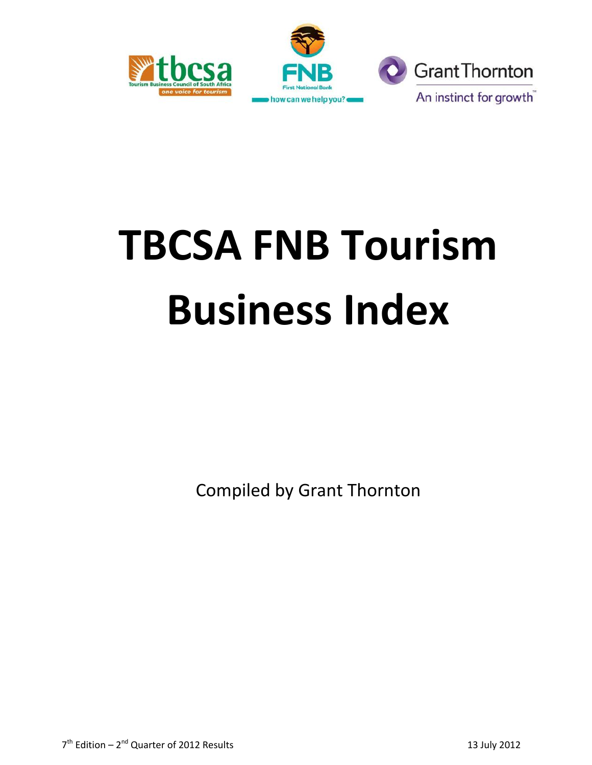



# **TBCSA FNB Tourism Business Index**

Compiled by Grant Thornton

7<sup>th</sup> Edition – 2<sup>nd</sup> Quarter of 2012 Results 13 July 2012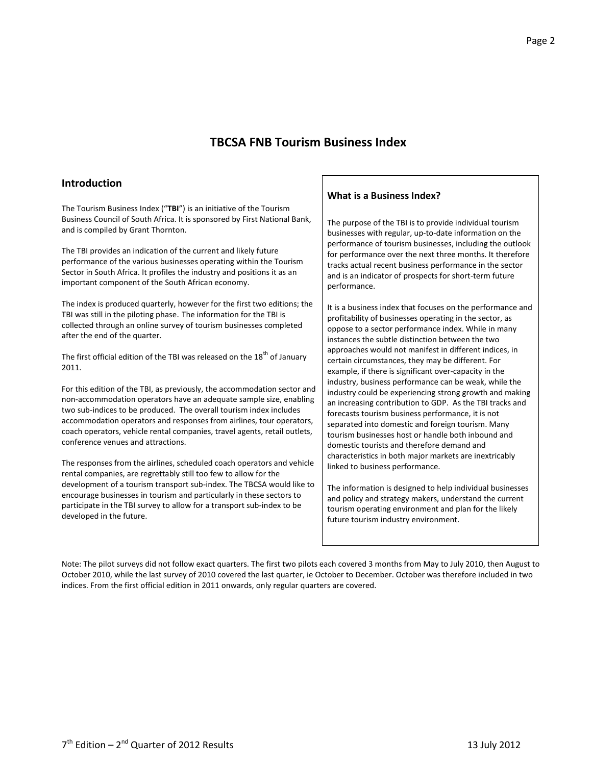### **TBCSA FNB Tourism Business Index**

#### **Introduction**

The Tourism Business Index ("**TBI**") is an initiative of the Tourism Business Council of South Africa. It is sponsored by First National Bank, and is compiled by Grant Thornton.

The TBI provides an indication of the current and likely future performance of the various businesses operating within the Tourism Sector in South Africa. It profiles the industry and positions it as an important component of the South African economy.

The index is produced quarterly, however for the first two editions; the TBI was still in the piloting phase. The information for the TBI is collected through an online survey of tourism businesses completed after the end of the quarter.

The first official edition of the TBI was released on the  $18<sup>th</sup>$  of January 2011.

For this edition of the TBI, as previously, the accommodation sector and non-accommodation operators have an adequate sample size, enabling two sub-indices to be produced. The overall tourism index includes accommodation operators and responses from airlines, tour operators, coach operators, vehicle rental companies, travel agents, retail outlets, conference venues and attractions.

The responses from the airlines, scheduled coach operators and vehicle rental companies, are regrettably still too few to allow for the development of a tourism transport sub-index. The TBCSA would like to encourage businesses in tourism and particularly in these sectors to participate in the TBI survey to allow for a transport sub-index to be developed in the future.

#### **What is a Business Index?**

The purpose of the TBI is to provide individual tourism businesses with regular, up-to-date information on the performance of tourism businesses, including the outlook for performance over the next three months. It therefore tracks actual recent business performance in the sector and is an indicator of prospects for short-term future performance.

It is a business index that focuses on the performance and profitability of businesses operating in the sector, as oppose to a sector performance index. While in many instances the subtle distinction between the two approaches would not manifest in different indices, in certain circumstances, they may be different. For example, if there is significant over-capacity in the industry, business performance can be weak, while the industry could be experiencing strong growth and making an increasing contribution to GDP. As the TBI tracks and forecasts tourism business performance, it is not separated into domestic and foreign tourism. Many tourism businesses host or handle both inbound and domestic tourists and therefore demand and characteristics in both major markets are inextricably linked to business performance.

The information is designed to help individual businesses and policy and strategy makers, understand the current tourism operating environment and plan for the likely future tourism industry environment.

Note: The pilot surveys did not follow exact quarters. The first two pilots each covered 3 months from May to July 2010, then August to October 2010, while the last survey of 2010 covered the last quarter, ie October to December. October was therefore included in two indices. From the first official edition in 2011 onwards, only regular quarters are covered.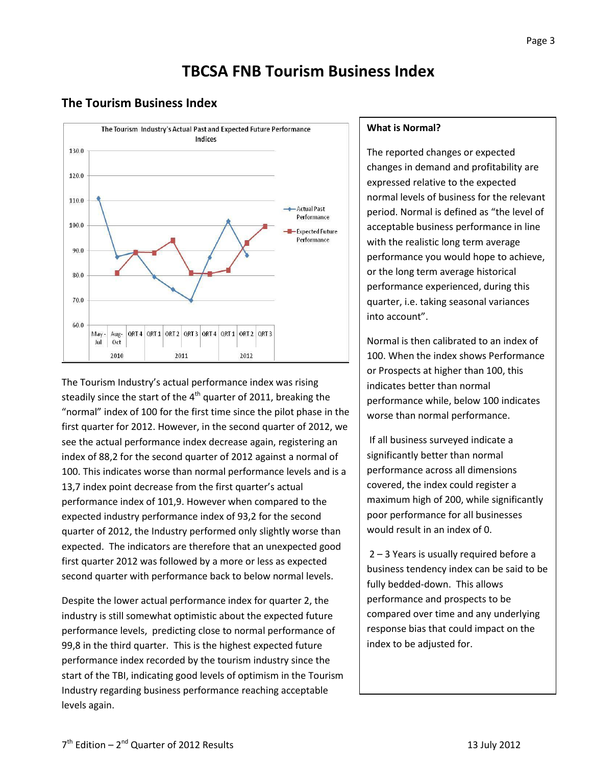## **TBCSA FNB Tourism Business Index**

## **The Tourism Business Index**



The Tourism Industry's actual performance index was rising steadily since the start of the  $4<sup>th</sup>$  quarter of 2011, breaking the "normal" index of 100 for the first time since the pilot phase in the first quarter for 2012. However, in the second quarter of 2012, we see the actual performance index decrease again, registering an index of 88,2 for the second quarter of 2012 against a normal of 100. This indicates worse than normal performance levels and is a 13,7 index point decrease from the first quarter's actual performance index of 101,9. However when compared to the expected industry performance index of 93,2 for the second quarter of 2012, the Industry performed only slightly worse than expected. The indicators are therefore that an unexpected good first quarter 2012 was followed by a more or less as expected second quarter with performance back to below normal levels.

Despite the lower actual performance index for quarter 2, the industry is still somewhat optimistic about the expected future performance levels, predicting close to normal performance of 99,8 in the third quarter. This is the highest expected future performance index recorded by the tourism industry since the start of the TBI, indicating good levels of optimism in the Tourism Industry regarding business performance reaching acceptable levels again.

#### **What is Normal?**

The reported changes or expected changes in demand and profitability are expressed relative to the expected normal levels of business for the relevant period. Normal is defined as "the level of acceptable business performance in line with the realistic long term average performance you would hope to achieve, or the long term average historical performance experienced, during this quarter, i.e. taking seasonal variances into account".

Normal is then calibrated to an index of 100. When the index shows Performance or Prospects at higher than 100, this indicates better than normal performance while, below 100 indicates worse than normal performance.

If all business surveyed indicate a significantly better than normal performance across all dimensions covered, the index could register a maximum high of 200, while significantly poor performance for all businesses would result in an index of 0.

2 – 3 Years is usually required before a business tendency index can be said to be fully bedded-down. This allows performance and prospects to be compared over time and any underlying response bias that could impact on the index to be adjusted for.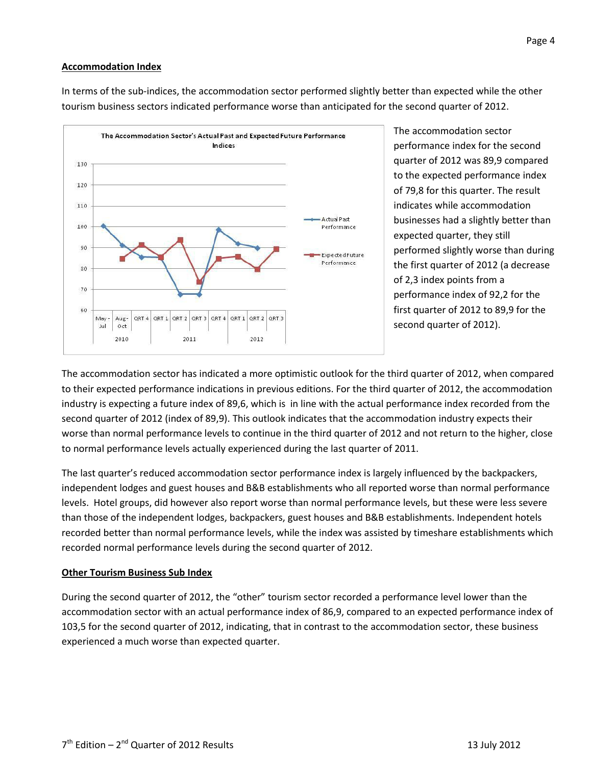#### **Accommodation Index**



In terms of the sub-indices, the accommodation sector performed slightly better than expected while the other tourism business sectors indicated performance worse than anticipated for the second quarter of 2012.

> The accommodation sector performance index for the second quarter of 2012 was 89,9 compared to the expected performance index of 79,8 for this quarter. The result indicates while accommodation businesses had a slightly better than expected quarter, they still performed slightly worse than during the first quarter of 2012 (a decrease of 2,3 index points from a performance index of 92,2 for the first quarter of 2012 to 89,9 for the second quarter of 2012).

The accommodation sector has indicated a more optimistic outlook for the third quarter of 2012, when compared to their expected performance indications in previous editions. For the third quarter of 2012, the accommodation industry is expecting a future index of 89,6, which is in line with the actual performance index recorded from the second quarter of 2012 (index of 89,9). This outlook indicates that the accommodation industry expects their worse than normal performance levels to continue in the third quarter of 2012 and not return to the higher, close to normal performance levels actually experienced during the last quarter of 2011.

The last quarter's reduced accommodation sector performance index is largely influenced by the backpackers, independent lodges and guest houses and B&B establishments who all reported worse than normal performance levels. Hotel groups, did however also report worse than normal performance levels, but these were less severe than those of the independent lodges, backpackers, guest houses and B&B establishments. Independent hotels recorded better than normal performance levels, while the index was assisted by timeshare establishments which recorded normal performance levels during the second quarter of 2012.

#### **Other Tourism Business Sub Index**

During the second quarter of 2012, the "other" tourism sector recorded a performance level lower than the accommodation sector with an actual performance index of 86,9, compared to an expected performance index of 103,5 for the second quarter of 2012, indicating, that in contrast to the accommodation sector, these business experienced a much worse than expected quarter.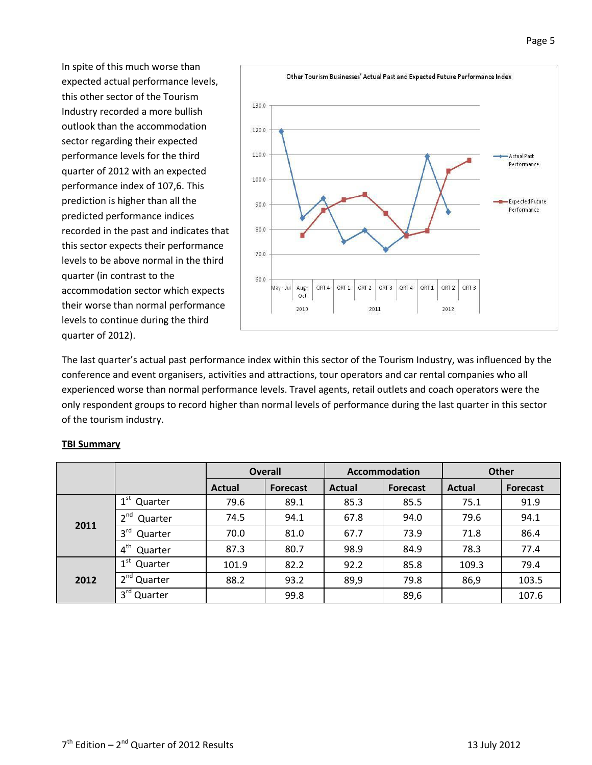In spite of this much worse than expected actual performance levels, this other sector of the Tourism Industry recorded a more bullish outlook than the accommodation sector regarding their expected performance levels for the third quarter of 2012 with an expected performance index of 107,6. This prediction is higher than all the predicted performance indices recorded in the past and indicates that this sector expects their performance levels to be above normal in the third quarter (in contrast to the accommodation sector which expects their worse than normal performance levels to continue during the third quarter of 2012).



Page 5

The last quarter's actual past performance index within this sector of the Tourism Industry, was influenced by the conference and event organisers, activities and attractions, tour operators and car rental companies who all experienced worse than normal performance levels. Travel agents, retail outlets and coach operators were the only respondent groups to record higher than normal levels of performance during the last quarter in this sector of the tourism industry.

|      |                            |        | <b>Overall</b>  | Accommodation |          | <b>Other</b>  |                 |
|------|----------------------------|--------|-----------------|---------------|----------|---------------|-----------------|
|      |                            | Actual | <b>Forecast</b> | Actual        | Forecast | <b>Actual</b> | <b>Forecast</b> |
| 2011 | $1^{\rm st}$<br>Quarter    | 79.6   | 89.1            | 85.3          | 85.5     | 75.1          | 91.9            |
|      | 2 <sup>nd</sup><br>Quarter | 74.5   | 94.1            | 67.8          | 94.0     | 79.6          | 94.1            |
|      | 3 <sup>rd</sup><br>Quarter | 70.0   | 81.0            | 67.7          | 73.9     | 71.8          | 86.4            |
|      | 4 <sup>th</sup><br>Quarter | 87.3   | 80.7            | 98.9          | 84.9     | 78.3          | 77.4            |
| 2012 | $1^{\rm st}$<br>Quarter    | 101.9  | 82.2            | 92.2          | 85.8     | 109.3         | 79.4            |
|      | 2 <sup>nd</sup> Quarter    | 88.2   | 93.2            | 89,9          | 79.8     | 86,9          | 103.5           |
|      | 3 <sup>rd</sup><br>Quarter |        | 99.8            |               | 89,6     |               | 107.6           |

#### **TBI Summary**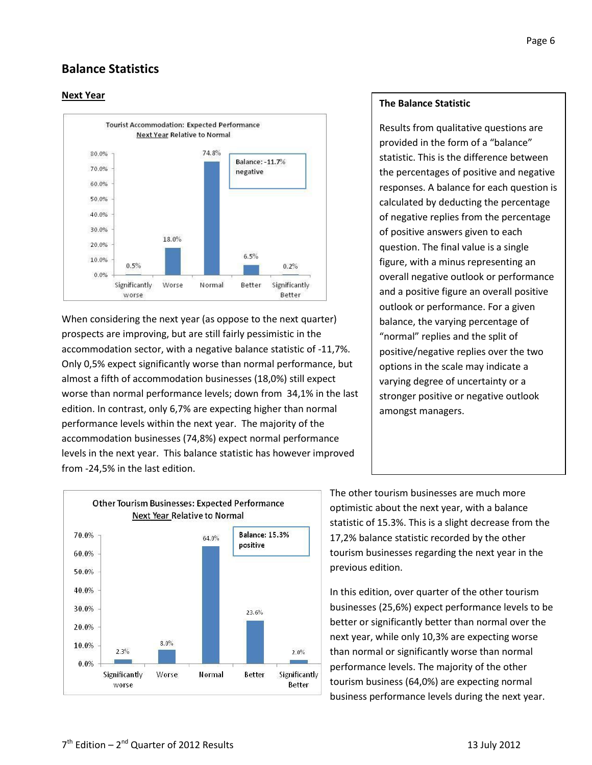## **Balance Statistics**

#### **Next Year**



When considering the next year (as oppose to the next quarter) prospects are improving, but are still fairly pessimistic in the accommodation sector, with a negative balance statistic of -11,7%. Only 0,5% expect significantly worse than normal performance, but almost a fifth of accommodation businesses (18,0%) still expect worse than normal performance levels; down from 34,1% in the last edition. In contrast, only 6,7% are expecting higher than normal performance levels within the next year. The majority of the accommodation businesses (74,8%) expect normal performance levels in the next year. This balance statistic has however improved from -24,5% in the last edition.



#### **The Balance Statistic**

Results from qualitative questions are provided in the form of a "balance" statistic. This is the difference between the percentages of positive and negative responses. A balance for each question is calculated by deducting the percentage of negative replies from the percentage of positive answers given to each question. The final value is a single figure, with a minus representing an overall negative outlook or performance and a positive figure an overall positive outlook or performance. For a given balance, the varying percentage of "normal" replies and the split of positive/negative replies over the two options in the scale may indicate a varying degree of uncertainty or a stronger positive or negative outlook amongst managers.

The other tourism businesses are much more optimistic about the next year, with a balance statistic of 15.3%. This is a slight decrease from the 17,2% balance statistic recorded by the other tourism businesses regarding the next year in the previous edition.

In this edition, over quarter of the other tourism businesses (25,6%) expect performance levels to be better or significantly better than normal over the next year, while only 10,3% are expecting worse than normal or significantly worse than normal performance levels. The majority of the other tourism business (64,0%) are expecting normal business performance levels during the next year.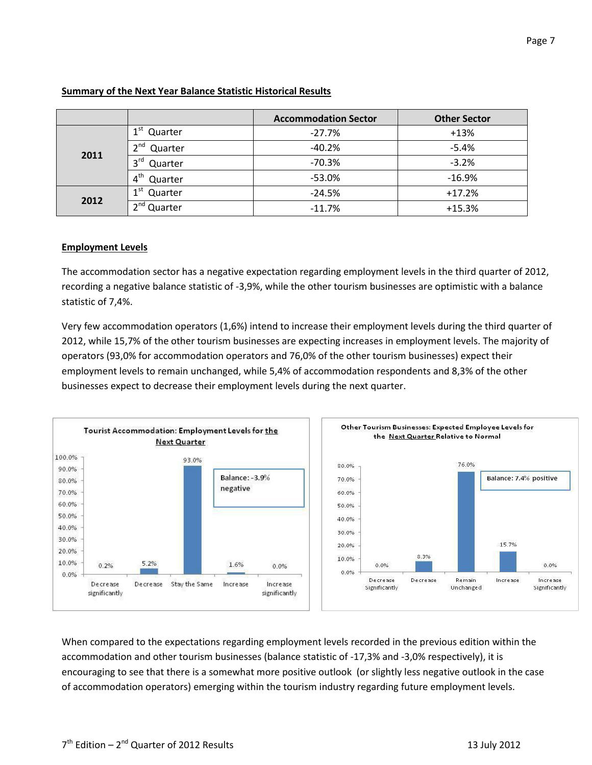|      |                            | <b>Accommodation Sector</b> | <b>Other Sector</b> |
|------|----------------------------|-----------------------------|---------------------|
|      | 1 <sup>st</sup><br>Quarter | $-27.7%$                    | $+13%$              |
|      | $\mathbf{a}$ nd<br>Quarter | $-40.2%$                    | $-5.4%$             |
| 2011 | 3 <sup>rd</sup><br>Quarter | $-70.3%$                    | $-3.2%$             |
|      | Quarter                    | $-53.0%$                    | $-16.9%$            |
| 2012 | 1 <sup>st</sup><br>Quarter | $-24.5%$                    | $+17.2%$            |
|      | $\lambda$ nd<br>Quarter    | $-11.7%$                    | $+15.3%$            |

#### **Summary of the Next Year Balance Statistic Historical Results**

#### **Employment Levels**

The accommodation sector has a negative expectation regarding employment levels in the third quarter of 2012, recording a negative balance statistic of -3,9%, while the other tourism businesses are optimistic with a balance statistic of 7,4%.

Very few accommodation operators (1,6%) intend to increase their employment levels during the third quarter of 2012, while 15,7% of the other tourism businesses are expecting increases in employment levels. The majority of operators (93,0% for accommodation operators and 76,0% of the other tourism businesses) expect their employment levels to remain unchanged, while 5,4% of accommodation respondents and 8,3% of the other businesses expect to decrease their employment levels during the next quarter.



When compared to the expectations regarding employment levels recorded in the previous edition within the accommodation and other tourism businesses (balance statistic of -17,3% and -3,0% respectively), it is encouraging to see that there is a somewhat more positive outlook (or slightly less negative outlook in the case of accommodation operators) emerging within the tourism industry regarding future employment levels.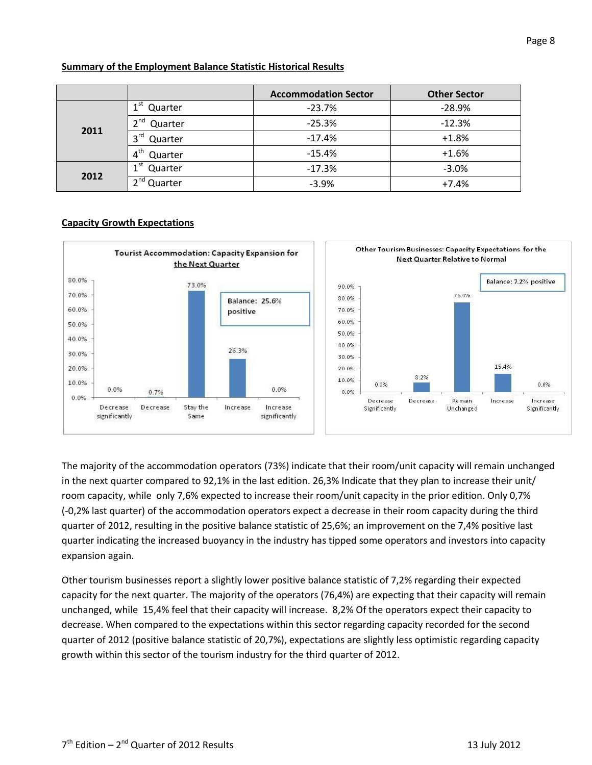|      |                            | <b>Accommodation Sector</b> | <b>Other Sector</b> |  |
|------|----------------------------|-----------------------------|---------------------|--|
|      | 1st<br>Quarter             | $-23.7%$                    | $-28.9%$            |  |
| 2011 | $\lambda$ nd<br>Quarter    | $-25.3%$                    | $-12.3%$            |  |
|      | 3 <sup>rd</sup><br>Quarter | $-17.4%$                    | $+1.8%$             |  |
|      | 4 <sup>th</sup><br>Quarter | $-15.4%$                    | $+1.6%$             |  |
| 2012 | 1 <sub>st</sub><br>Quarter | $-17.3%$                    | $-3.0%$             |  |
|      | $\lambda$ nd<br>Quarter    | $-3.9%$                     | $+7.4%$             |  |

#### **Summary of the Employment Balance Statistic Historical Results**

#### **Capacity Growth Expectations**



The majority of the accommodation operators (73%) indicate that their room/unit capacity will remain unchanged in the next quarter compared to 92,1% in the last edition. 26,3% Indicate that they plan to increase their unit/ room capacity, while only 7,6% expected to increase their room/unit capacity in the prior edition. Only 0,7% (-0,2% last quarter) of the accommodation operators expect a decrease in their room capacity during the third quarter of 2012, resulting in the positive balance statistic of 25,6%; an improvement on the 7,4% positive last quarter indicating the increased buoyancy in the industry has tipped some operators and investors into capacity expansion again.

Other tourism businesses report a slightly lower positive balance statistic of 7,2% regarding their expected capacity for the next quarter. The majority of the operators (76,4%) are expecting that their capacity will remain unchanged, while 15,4% feel that their capacity will increase. 8,2% Of the operators expect their capacity to decrease. When compared to the expectations within this sector regarding capacity recorded for the second quarter of 2012 (positive balance statistic of 20,7%), expectations are slightly less optimistic regarding capacity growth within this sector of the tourism industry for the third quarter of 2012.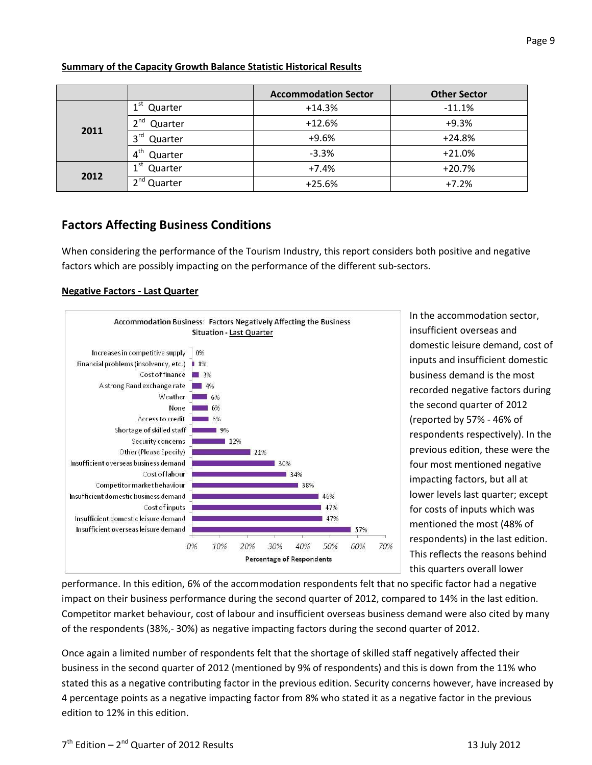|      |                                       | <b>Accommodation Sector</b> | <b>Other Sector</b> |  |
|------|---------------------------------------|-----------------------------|---------------------|--|
|      | 1 <sup>st</sup><br>Quarter            | $+14.3%$                    | $-11.1%$            |  |
| 2011 | $2^{nd}$<br>Quarter                   | $+12.6%$                    | $+9.3%$             |  |
|      | $3^{\text{rd}}$<br>Quarter            | $+9.6%$                     | $+24.8%$            |  |
|      | 4 <sup>th</sup><br>Quarter            | $-3.3%$                     | $+21.0%$            |  |
| 2012 | 1 <sup>st</sup><br>Quarter            | $+7.4%$                     | $+20.7%$            |  |
|      | $\mathbf{a}^{\text{nd}}$ .<br>Quarter | $+25.6%$                    | $+7.2%$             |  |

#### **Summary of the Capacity Growth Balance Statistic Historical Results**

## **Factors Affecting Business Conditions**

When considering the performance of the Tourism Industry, this report considers both positive and negative factors which are possibly impacting on the performance of the different sub-sectors.

#### **Negative Factors - Last Quarter**



In the accommodation sector, insufficient overseas and domestic leisure demand, cost of inputs and insufficient domestic business demand is the most recorded negative factors during the second quarter of 2012 (reported by 57% - 46% of respondents respectively). In the previous edition, these were the four most mentioned negative impacting factors, but all at lower levels last quarter; except for costs of inputs which was mentioned the most (48% of respondents) in the last edition. This reflects the reasons behind this quarters overall lower

performance. In this edition, 6% of the accommodation respondents felt that no specific factor had a negative impact on their business performance during the second quarter of 2012, compared to 14% in the last edition. Competitor market behaviour, cost of labour and insufficient overseas business demand were also cited by many of the respondents (38%,- 30%) as negative impacting factors during the second quarter of 2012.

Once again a limited number of respondents felt that the shortage of skilled staff negatively affected their business in the second quarter of 2012 (mentioned by 9% of respondents) and this is down from the 11% who stated this as a negative contributing factor in the previous edition. Security concerns however, have increased by 4 percentage points as a negative impacting factor from 8% who stated it as a negative factor in the previous edition to 12% in this edition.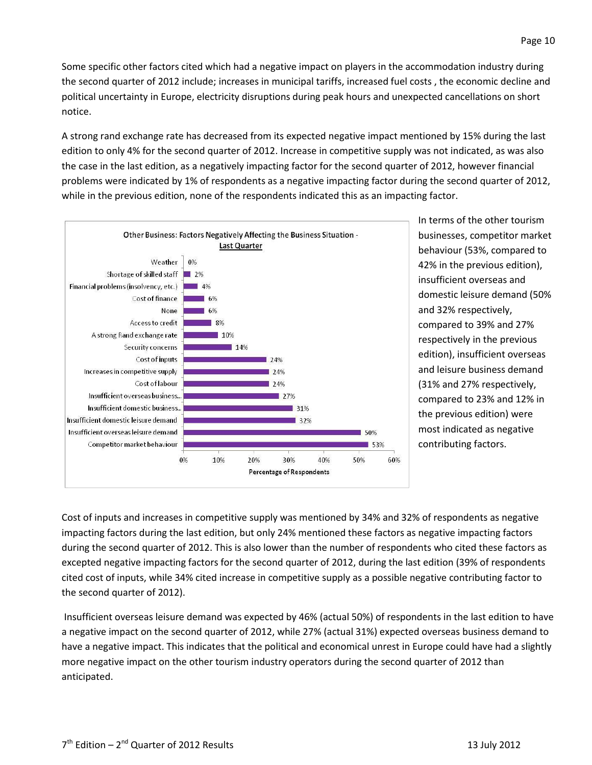Some specific other factors cited which had a negative impact on players in the accommodation industry during the second quarter of 2012 include; increases in municipal tariffs, increased fuel costs , the economic decline and political uncertainty in Europe, electricity disruptions during peak hours and unexpected cancellations on short notice.

A strong rand exchange rate has decreased from its expected negative impact mentioned by 15% during the last edition to only 4% for the second quarter of 2012. Increase in competitive supply was not indicated, as was also the case in the last edition, as a negatively impacting factor for the second quarter of 2012, however financial problems were indicated by 1% of respondents as a negative impacting factor during the second quarter of 2012, while in the previous edition, none of the respondents indicated this as an impacting factor.



In terms of the other tourism businesses, competitor market behaviour (53%, compared to 42% in the previous edition), insufficient overseas and domestic leisure demand (50% and 32% respectively, compared to 39% and 27% respectively in the previous edition), insufficient overseas and leisure business demand (31% and 27% respectively, compared to 23% and 12% in the previous edition) were most indicated as negative contributing factors.

Cost of inputs and increases in competitive supply was mentioned by 34% and 32% of respondents as negative impacting factors during the last edition, but only 24% mentioned these factors as negative impacting factors during the second quarter of 2012. This is also lower than the number of respondents who cited these factors as excepted negative impacting factors for the second quarter of 2012, during the last edition (39% of respondents cited cost of inputs, while 34% cited increase in competitive supply as a possible negative contributing factor to the second quarter of 2012).

Insufficient overseas leisure demand was expected by 46% (actual 50%) of respondents in the last edition to have a negative impact on the second quarter of 2012, while 27% (actual 31%) expected overseas business demand to have a negative impact. This indicates that the political and economical unrest in Europe could have had a slightly more negative impact on the other tourism industry operators during the second quarter of 2012 than anticipated.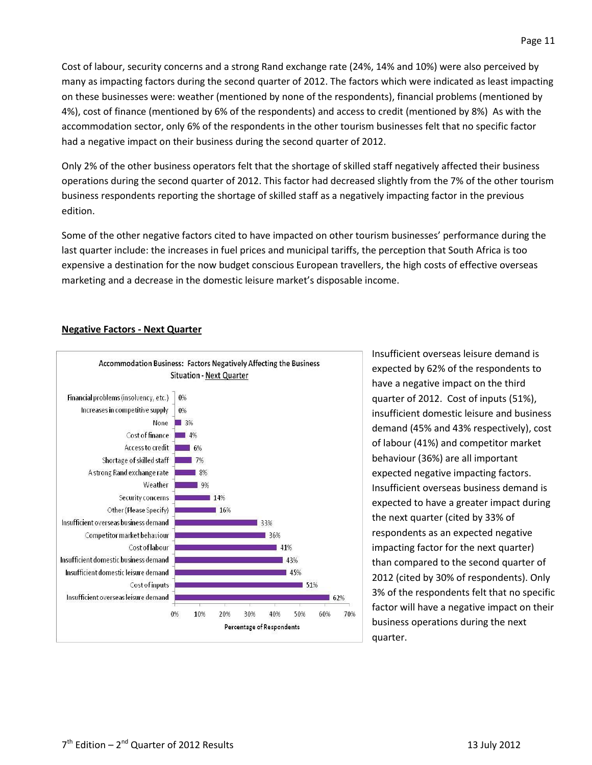Cost of labour, security concerns and a strong Rand exchange rate (24%, 14% and 10%) were also perceived by many as impacting factors during the second quarter of 2012. The factors which were indicated as least impacting on these businesses were: weather (mentioned by none of the respondents), financial problems (mentioned by 4%), cost of finance (mentioned by 6% of the respondents) and access to credit (mentioned by 8%) As with the accommodation sector, only 6% of the respondents in the other tourism businesses felt that no specific factor had a negative impact on their business during the second quarter of 2012.

Only 2% of the other business operators felt that the shortage of skilled staff negatively affected their business operations during the second quarter of 2012. This factor had decreased slightly from the 7% of the other tourism business respondents reporting the shortage of skilled staff as a negatively impacting factor in the previous edition.

Some of the other negative factors cited to have impacted on other tourism businesses' performance during the last quarter include: the increases in fuel prices and municipal tariffs, the perception that South Africa is too expensive a destination for the now budget conscious European travellers, the high costs of effective overseas marketing and a decrease in the domestic leisure market's disposable income.

#### **Negative Factors - Next Quarter**



Insufficient overseas leisure demand is expected by 62% of the respondents to have a negative impact on the third quarter of 2012. Cost of inputs (51%), insufficient domestic leisure and business demand (45% and 43% respectively), cost of labour (41%) and competitor market behaviour (36%) are all important expected negative impacting factors. Insufficient overseas business demand is expected to have a greater impact during the next quarter (cited by 33% of respondents as an expected negative impacting factor for the next quarter) than compared to the second quarter of 2012 (cited by 30% of respondents). Only 3% of the respondents felt that no specific factor will have a negative impact on their business operations during the next quarter.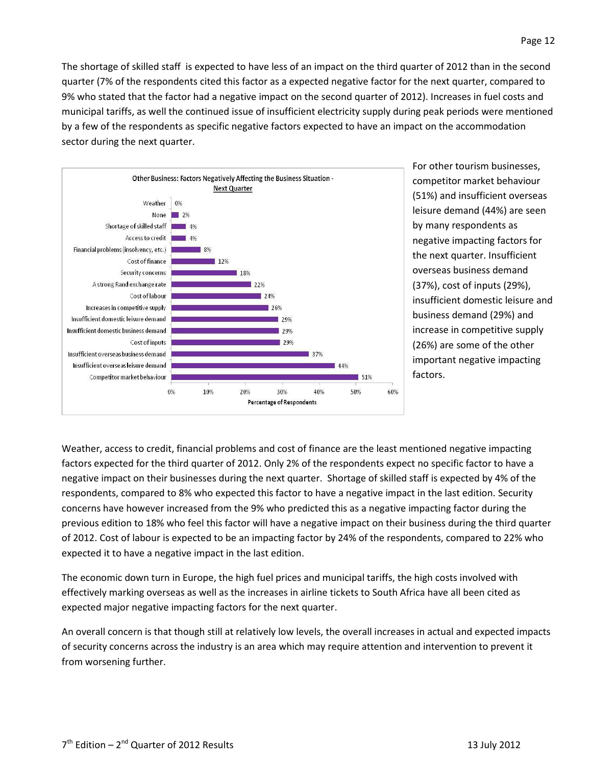The shortage of skilled staff is expected to have less of an impact on the third quarter of 2012 than in the second quarter (7% of the respondents cited this factor as a expected negative factor for the next quarter, compared to 9% who stated that the factor had a negative impact on the second quarter of 2012). Increases in fuel costs and municipal tariffs, as well the continued issue of insufficient electricity supply during peak periods were mentioned by a few of the respondents as specific negative factors expected to have an impact on the accommodation sector during the next quarter.



For other tourism businesses, competitor market behaviour (51%) and insufficient overseas leisure demand (44%) are seen by many respondents as negative impacting factors for the next quarter. Insufficient overseas business demand (37%), cost of inputs (29%), insufficient domestic leisure and business demand (29%) and increase in competitive supply (26%) are some of the other important negative impacting factors.

Weather, access to credit, financial problems and cost of finance are the least mentioned negative impacting factors expected for the third quarter of 2012. Only 2% of the respondents expect no specific factor to have a negative impact on their businesses during the next quarter. Shortage of skilled staff is expected by 4% of the respondents, compared to 8% who expected this factor to have a negative impact in the last edition. Security concerns have however increased from the 9% who predicted this as a negative impacting factor during the previous edition to 18% who feel this factor will have a negative impact on their business during the third quarter of 2012. Cost of labour is expected to be an impacting factor by 24% of the respondents, compared to 22% who expected it to have a negative impact in the last edition.

The economic down turn in Europe, the high fuel prices and municipal tariffs, the high costs involved with effectively marking overseas as well as the increases in airline tickets to South Africa have all been cited as expected major negative impacting factors for the next quarter.

An overall concern is that though still at relatively low levels, the overall increases in actual and expected impacts of security concerns across the industry is an area which may require attention and intervention to prevent it from worsening further.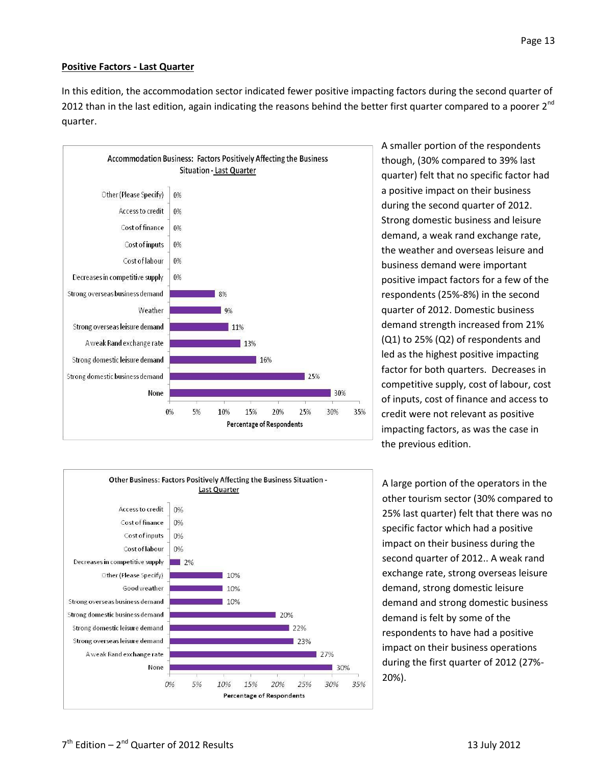#### **Positive Factors - Last Quarter**

In this edition, the accommodation sector indicated fewer positive impacting factors during the second quarter of 2012 than in the last edition, again indicating the reasons behind the better first quarter compared to a poorer  $2^{nd}$ quarter.





A smaller portion of the respondents though, (30% compared to 39% last quarter) felt that no specific factor had a positive impact on their business during the second quarter of 2012. Strong domestic business and leisure demand, a weak rand exchange rate, the weather and overseas leisure and business demand were important positive impact factors for a few of the respondents (25%-8%) in the second quarter of 2012. Domestic business demand strength increased from 21% (Q1) to 25% (Q2) of respondents and led as the highest positive impacting factor for both quarters. Decreases in competitive supply, cost of labour, cost of inputs, cost of finance and access to credit were not relevant as positive impacting factors, as was the case in the previous edition.

A large portion of the operators in the other tourism sector (30% compared to 25% last quarter) felt that there was no specific factor which had a positive impact on their business during the second quarter of 2012.. A weak rand exchange rate, strong overseas leisure demand, strong domestic leisure demand and strong domestic business demand is felt by some of the respondents to have had a positive impact on their business operations during the first quarter of 2012 (27%- 20%).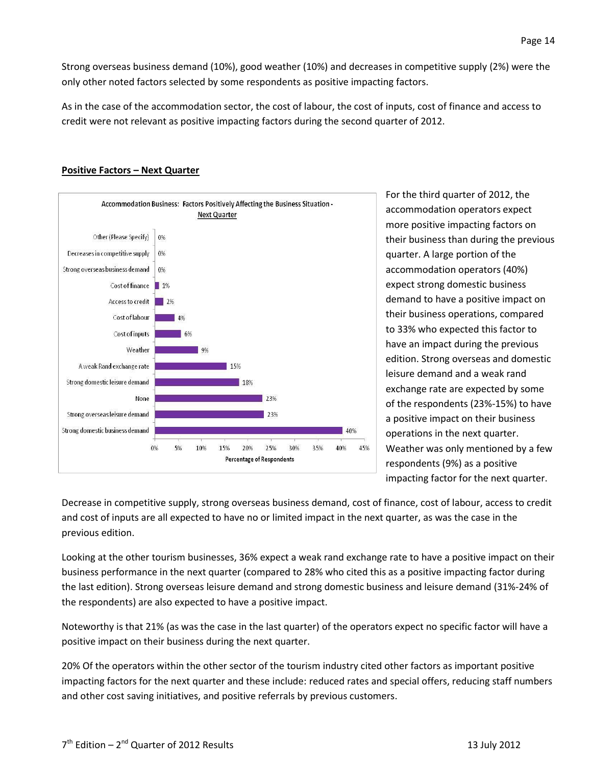Strong overseas business demand (10%), good weather (10%) and decreases in competitive supply (2%) were the only other noted factors selected by some respondents as positive impacting factors.

As in the case of the accommodation sector, the cost of labour, the cost of inputs, cost of finance and access to credit were not relevant as positive impacting factors during the second quarter of 2012.



#### **Positive Factors – Next Quarter**

For the third quarter of 2012, the accommodation operators expect more positive impacting factors on their business than during the previous quarter. A large portion of the accommodation operators (40%) expect strong domestic business demand to have a positive impact on their business operations, compared to 33% who expected this factor to have an impact during the previous edition. Strong overseas and domestic leisure demand and a weak rand exchange rate are expected by some of the respondents (23%-15%) to have a positive impact on their business operations in the next quarter. Weather was only mentioned by a few respondents (9%) as a positive impacting factor for the next quarter.

Decrease in competitive supply, strong overseas business demand, cost of finance, cost of labour, access to credit and cost of inputs are all expected to have no or limited impact in the next quarter, as was the case in the previous edition.

Looking at the other tourism businesses, 36% expect a weak rand exchange rate to have a positive impact on their business performance in the next quarter (compared to 28% who cited this as a positive impacting factor during the last edition). Strong overseas leisure demand and strong domestic business and leisure demand (31%-24% of the respondents) are also expected to have a positive impact.

Noteworthy is that 21% (as was the case in the last quarter) of the operators expect no specific factor will have a positive impact on their business during the next quarter.

20% Of the operators within the other sector of the tourism industry cited other factors as important positive impacting factors for the next quarter and these include: reduced rates and special offers, reducing staff numbers and other cost saving initiatives, and positive referrals by previous customers.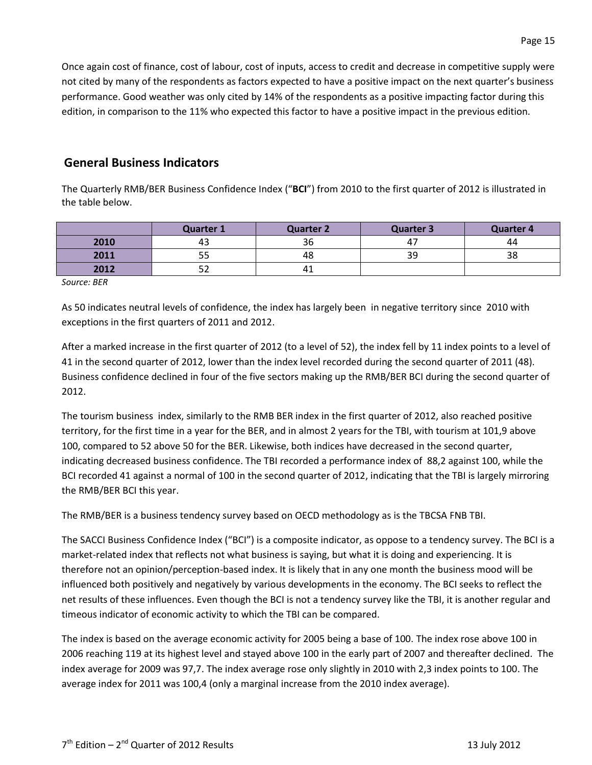Once again cost of finance, cost of labour, cost of inputs, access to credit and decrease in competitive supply were not cited by many of the respondents as factors expected to have a positive impact on the next quarter's business performance. Good weather was only cited by 14% of the respondents as a positive impacting factor during this edition, in comparison to the 11% who expected this factor to have a positive impact in the previous edition.

## **General Business Indicators**

The Quarterly RMB/BER Business Confidence Index ("**BCI**") from 2010 to the first quarter of 2012 is illustrated in the table below.

|      | <b>Quarter 1</b> | <b>Quarter 2</b> | <b>Quarter 3</b> | <b>Quarter 4</b> |  |
|------|------------------|------------------|------------------|------------------|--|
| 2010 | 43               | 36               | 47               | 44               |  |
| 2011 | 55               |                  | 39               | 38               |  |
| 2012 | ے ر              | 4,               |                  |                  |  |

*Source: BER*

As 50 indicates neutral levels of confidence, the index has largely been in negative territory since 2010 with exceptions in the first quarters of 2011 and 2012.

After a marked increase in the first quarter of 2012 (to a level of 52), the index fell by 11 index points to a level of 41 in the second quarter of 2012, lower than the index level recorded during the second quarter of 2011 (48). Business confidence declined in four of the five sectors making up the RMB/BER BCI during the second quarter of 2012.

The tourism business index, similarly to the RMB BER index in the first quarter of 2012, also reached positive territory, for the first time in a year for the BER, and in almost 2 years for the TBI, with tourism at 101,9 above 100, compared to 52 above 50 for the BER. Likewise, both indices have decreased in the second quarter, indicating decreased business confidence. The TBI recorded a performance index of 88,2 against 100, while the BCI recorded 41 against a normal of 100 in the second quarter of 2012, indicating that the TBI is largely mirroring the RMB/BER BCI this year.

The RMB/BER is a business tendency survey based on OECD methodology as is the TBCSA FNB TBI.

The SACCI Business Confidence Index ("BCI") is a composite indicator, as oppose to a tendency survey. The BCI is a market-related index that reflects not what business is saying, but what it is doing and experiencing. It is therefore not an opinion/perception-based index. It is likely that in any one month the business mood will be influenced both positively and negatively by various developments in the economy. The BCI seeks to reflect the net results of these influences. Even though the BCI is not a tendency survey like the TBI, it is another regular and timeous indicator of economic activity to which the TBI can be compared.

The index is based on the average economic activity for 2005 being a base of 100. The index rose above 100 in 2006 reaching 119 at its highest level and stayed above 100 in the early part of 2007 and thereafter declined. The index average for 2009 was 97,7. The index average rose only slightly in 2010 with 2,3 index points to 100. The average index for 2011 was 100,4 (only a marginal increase from the 2010 index average).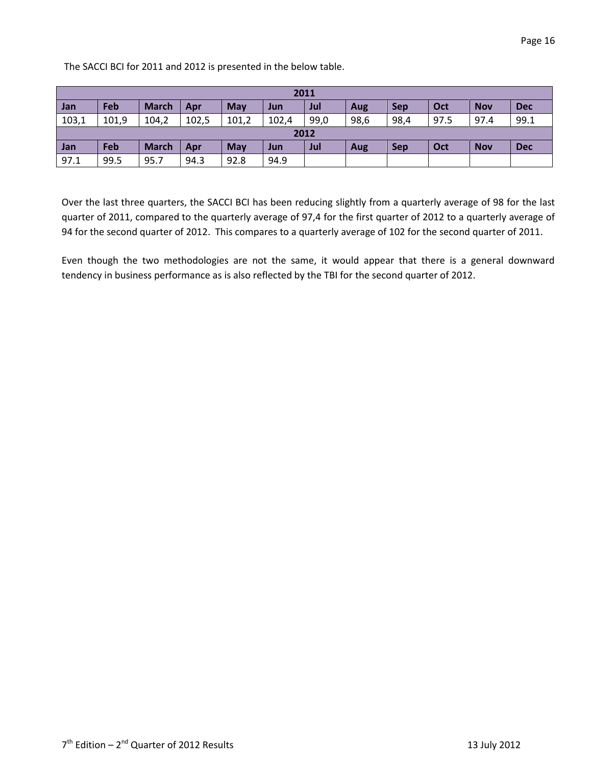The SACCI BCI for 2011 and 2012 is presented in the below table.

| 2011       |       |              |       |       |       |      |      |            |      |            |            |
|------------|-------|--------------|-------|-------|-------|------|------|------------|------|------------|------------|
| <b>Jan</b> | Feb   | <b>March</b> | Apr   | May   | Jun   | Jul  | Aug  | <b>Sep</b> | Oct  | <b>Nov</b> | <b>Dec</b> |
| 103,1      | 101,9 | 104,2        | 102,5 | 101,2 | 102,4 | 99,0 | 98,6 | 98,4       | 97.5 | 97.4       | 99.1       |
| 2012       |       |              |       |       |       |      |      |            |      |            |            |
| Jan        | Feb   | <b>March</b> | Apr   | May   | Jun   | Jul  | Aug  | <b>Sep</b> | Oct  | <b>Nov</b> | <b>Dec</b> |
| 97.1       | 99.5  | 95.7         | 94.3  | 92.8  | 94.9  |      |      |            |      |            |            |

Over the last three quarters, the SACCI BCI has been reducing slightly from a quarterly average of 98 for the last quarter of 2011, compared to the quarterly average of 97,4 for the first quarter of 2012 to a quarterly average of 94 for the second quarter of 2012. This compares to a quarterly average of 102 for the second quarter of 2011.

Even though the two methodologies are not the same, it would appear that there is a general downward tendency in business performance as is also reflected by the TBI for the second quarter of 2012.